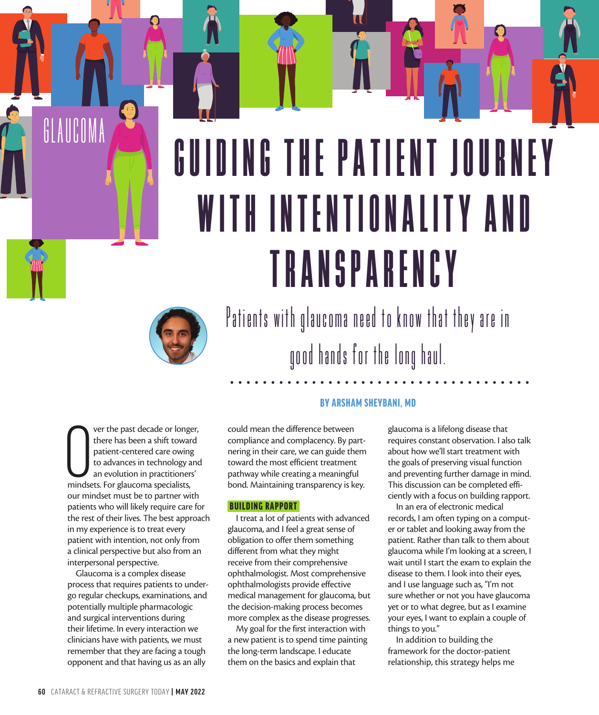# GUIDING THE PATIENT JOURNEY W I T H I N T E N T I O N A L I T Y A N D T R A N S P A R E N C Y



Patients with glaucoma need to know that they are in good hands for the long haul.

Ver the past decade or longe<br>there has been a shift towar<br>patient-centered care owing<br>to advances in technology a<br>an evolution in practitioners<br>mindsets. For glaucoma specialists, ver the past decade or longer, there has been a shift toward patient-centered care owing to advances in technology and an evolution in practitioners' our mindset must be to partner with patients who will likely require care for the rest of their lives. The best approach in my experience is to treat every patient with intention, not only from a clinical perspective but also from an interpersonal perspective.

s PERFECT THE PATIENT LIFECYCLE

❸

GLAUCOMA

Glaucoma is a complex disease process that requires patients to undergo regular checkups, examinations, and potentially multiple pharmacologic and surgical interventions during their lifetime. In every interaction we clinicians have with patients, we must remember that they are facing a tough opponent and that having us as an ally

# BY ARSHAM SHEYBANI, MD

could mean the difference between compliance and complacency. By partnering in their care, we can guide them toward the most efficient treatment pathway while creating a meaningful bond. Maintaining transparency is key.

#### BUILDING RAPPORT

I treat a lot of patients with advanced glaucoma, and I feel a great sense of obligation to offer them something different from what they might receive from their comprehensive ophthalmologist. Most comprehensive ophthalmologists provide effective medical management for glaucoma, but the decision-making process becomes more complex as the disease progresses.

My goal for the first interaction with a new patient is to spend time painting the long-term landscape. I educate them on the basics and explain that

glaucoma is a lifelong disease that requires constant observation. I also talk about how we'll start treatment with the goals of preserving visual function and preventing further damage in mind. This discussion can be completed efficiently with a focus on building rapport.

 $\bigcirc$ 

In an era of electronic medical records, I am often typing on a computer or tablet and looking away from the patient. Rather than talk to them about glaucoma while I'm looking at a screen, I wait until I start the exam to explain the disease to them. I look into their eyes, and I use language such as, "I'm not sure whether or not you have glaucoma yet or to what degree, but as I examine your eyes, I want to explain a couple of things to you."

In addition to building the framework for the doctor-patient relationship, this strategy helps me